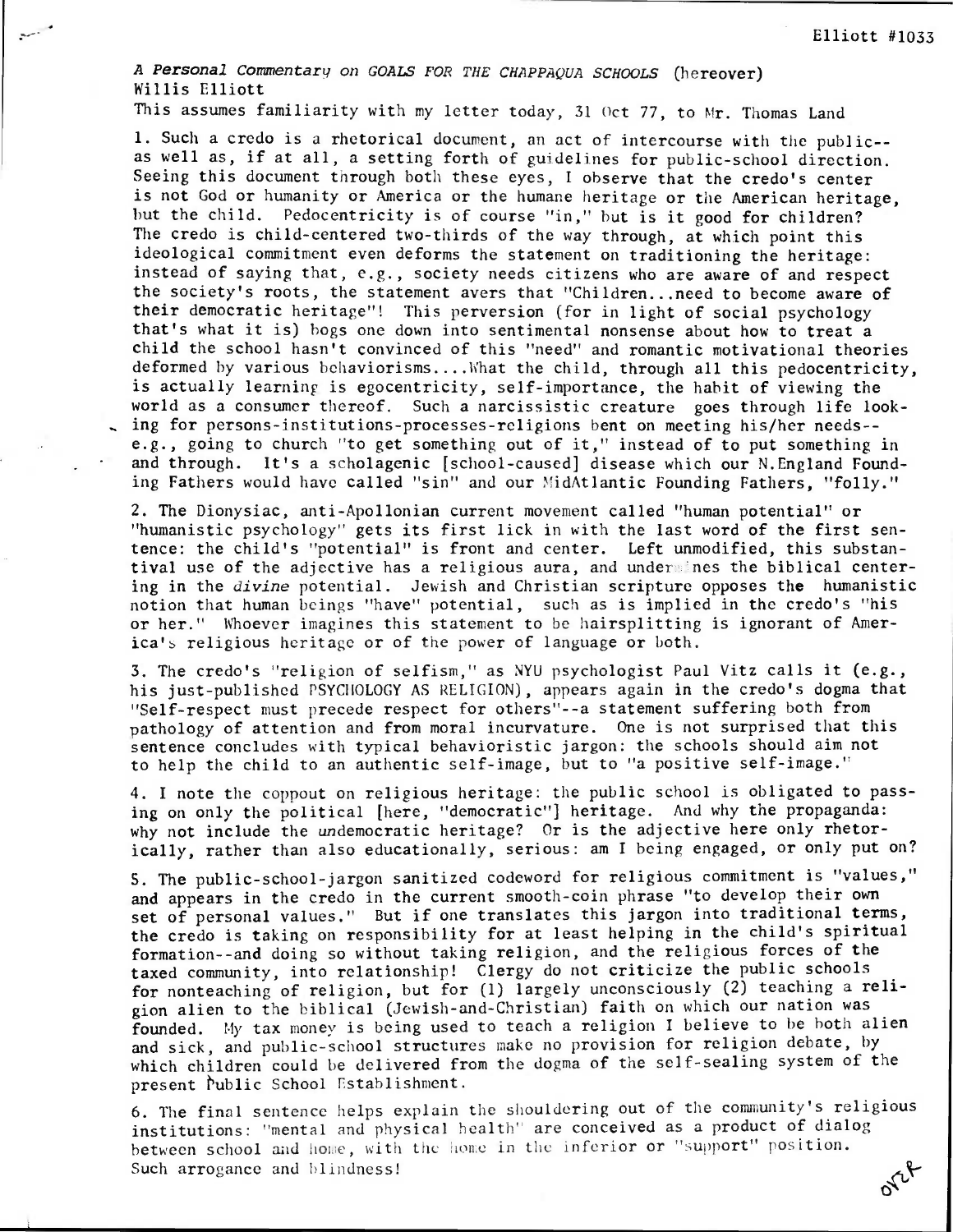A Personal Commentary on GOALS FOR THE CHAPPAQUA SCHOOLS (hereover) Willis Elliott

This assumes familiarity with my letter today, 31 Oct 77, to Mr. Thomas Land

1. Such a credo is a rhetorical document, an act of intercourse with the public- as well as, if at all, a setting forth of guidelines for public-school direction. Seeing this document through both these eyes, I observe that the credo's center is not God or humanity or America or the humane heritage or the American heritage, but the child. Pedocentricity is of course "in," but is it good for children? The credo is child-centered two-thirds of the way through, at which point this ideological commitment even deforms the statement on traditioning the heritage: instead of saying that, e.g., society needs citizens who are aware of and respect the society's roots, the statement avers that "Children...need to become aware of their democratic heritage"! This perversion (for in light of social psychology that's what it is) hogs one down into sentimental nonsense about how to treat a child the school hasn't convinced of this "need" and romantic motivational theories deformed by various behaviorisms....What the child, through all this pedocentricity, is actually learning is egocentricity, self-importance, the habit of viewing the world as a consumer thereof. Such a narcissistic creature goes through life look- , ing for persons-institutions-processes-religions bent on meeting his/her needs- e.g., going to church "to get something out of it," instead of to put something in and through. It's a scholagenic [school-caused] disease which our N.England Founding Fathers would have called "sin" and our MidAtlantic Founding Fathers, "folly."

2. The Dionysiac, anti-Apollonian current movement called "human potential" or "humanistic psychology" gets its first lick in with the last word of the first sentence: the child's "potential" is front and center. Left unmodified, this substantival use of the adjective has a religious aura, and undersines the biblical centering in the divine potential. Jewish and Christian scripture opposes the humanistic notion that human beings "have" potential, such as is implied in the credo's "his or her." Whoever imagines this statement to be hairsplitting is ignorant of America's religious heritage or of the power of language or both.

3. The credo's "religion of selfism," as NYU psychologist Paul Vitz calls it (e.g., his just-published PSYCHOLOGY AS RELIGION), appears again in the credo's dogma that "Self-respect must precede respect for others"--a statement suffering both from pathology of attention and from moral incurvature. One is not surprised that this sentence concludes with typical behavioristic jargon: the schools should aim not to help the child to an authentic self-image, but to "a positive self-image."

4. I note the coppout on religious heritage: the public school is obligated to passing on only the political [here, "democratic"] heritage. And why the propaganda: why not include the undemocratic heritage? Or is the adjective here only rhetorically, rather than also educationally, serious: am I being engaged, or only put on?

S. The public-school-jargon sanitized codeword for religious commitment is "values," and appears in the credo in the current smooth-coin phrase "to develop their own set of personal values." But if one translates this jargon into traditional terms, the credo is taking on responsibility for at least helping in the child's spiritual formation--and doing so without taking religion, and the religious forces of the taxed community, into relationship! Clergy do not criticize the public schools for nonteaching of religion, but for (1) largely unconsciously (2) teaching a religion alien to the biblical (Jewish-and-Christian) faith on which our nation was founded. My tax money is being used to teach a religion I believe to be both alien and sick, and public-school structures make no provision for religion debate, by which children could be delivered from the dogma of the self-sealing system of the present Public School Establishment.

6. The final sentence helps explain the shouldering out of the community's religious institutions: "mental and physical health" are conceived as a product of dialog between school and home, with the home in the inferior or "support" position. orce Such arrogance and blindness!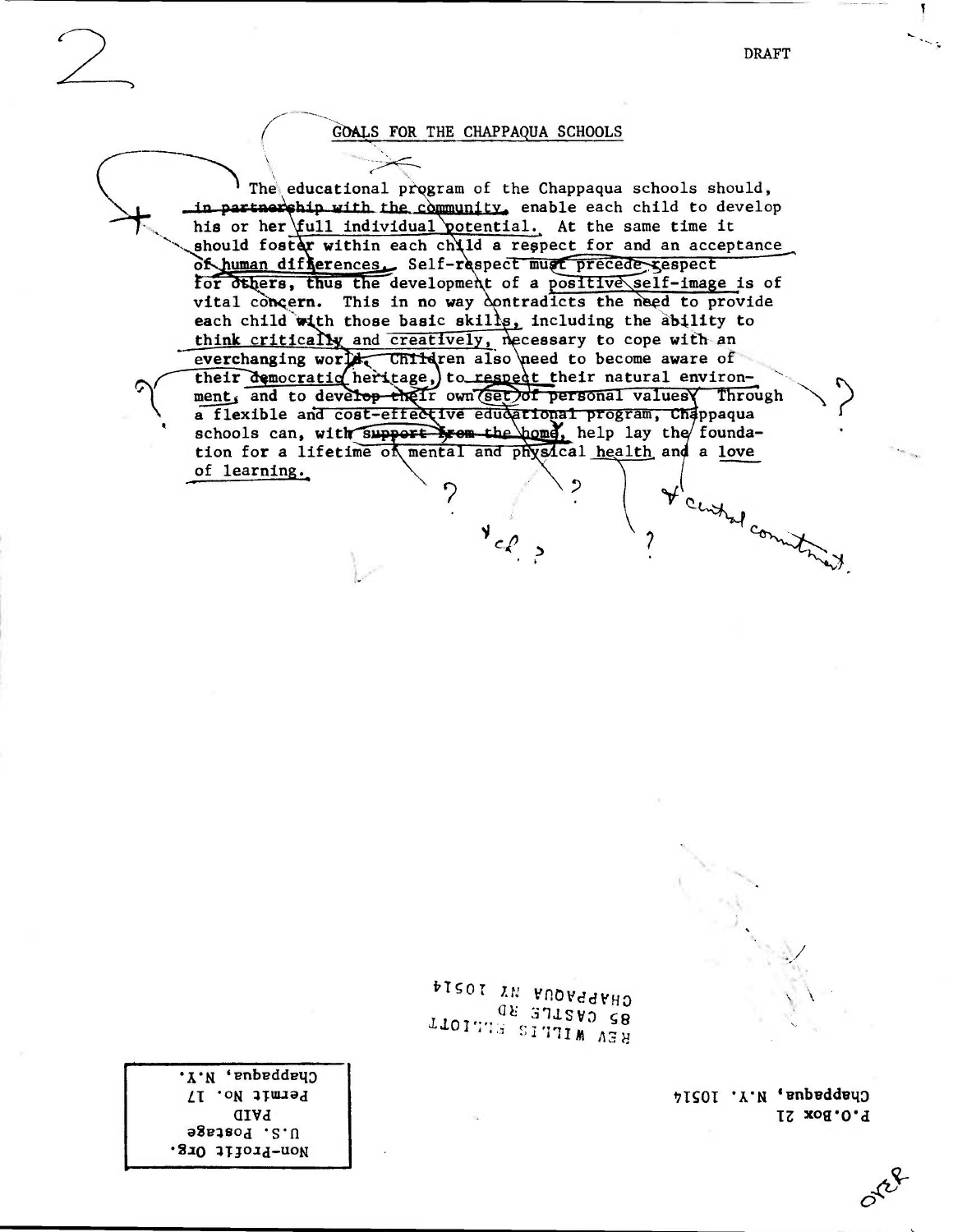Chappedua, N.Y. 10514 P.O.Box 21

olet

PISOT IN FROVEEFED 08 371800 58 REV WILLES SLLIDTT

'I'N 'enbeddey) Permit No. 17 **PAID** U.S. Postage Mon-Profit Org.

 $V_{c,\ell}$ 

The educational program of the Chappaqua schools should, in partner phip with the community, enable each child to develop his or her full individual potential. At the same time it should foster within each child a respect for and an acceptance of human differences. Self-respect must precede gespect for others, thus the development of a positive self-image is of vital concern. This in no way contradicts the need to provide each child with those basic skills, including the ability to think critically and creatively, necessary to cope with an everchanging world, Children also heed to become aware of<br>their democratic heritage, to respect their natural environment, and to develop their own set of personal values Through a flexible and cost-effective educational program, Chappaqua schools can, with support from the home, help lay the foundation for a lifetime of mental and physical health and a love of learning. I central commitments.

## GOALS FOR THE CHAPPAQUA SCHOOLS

**DRAFT**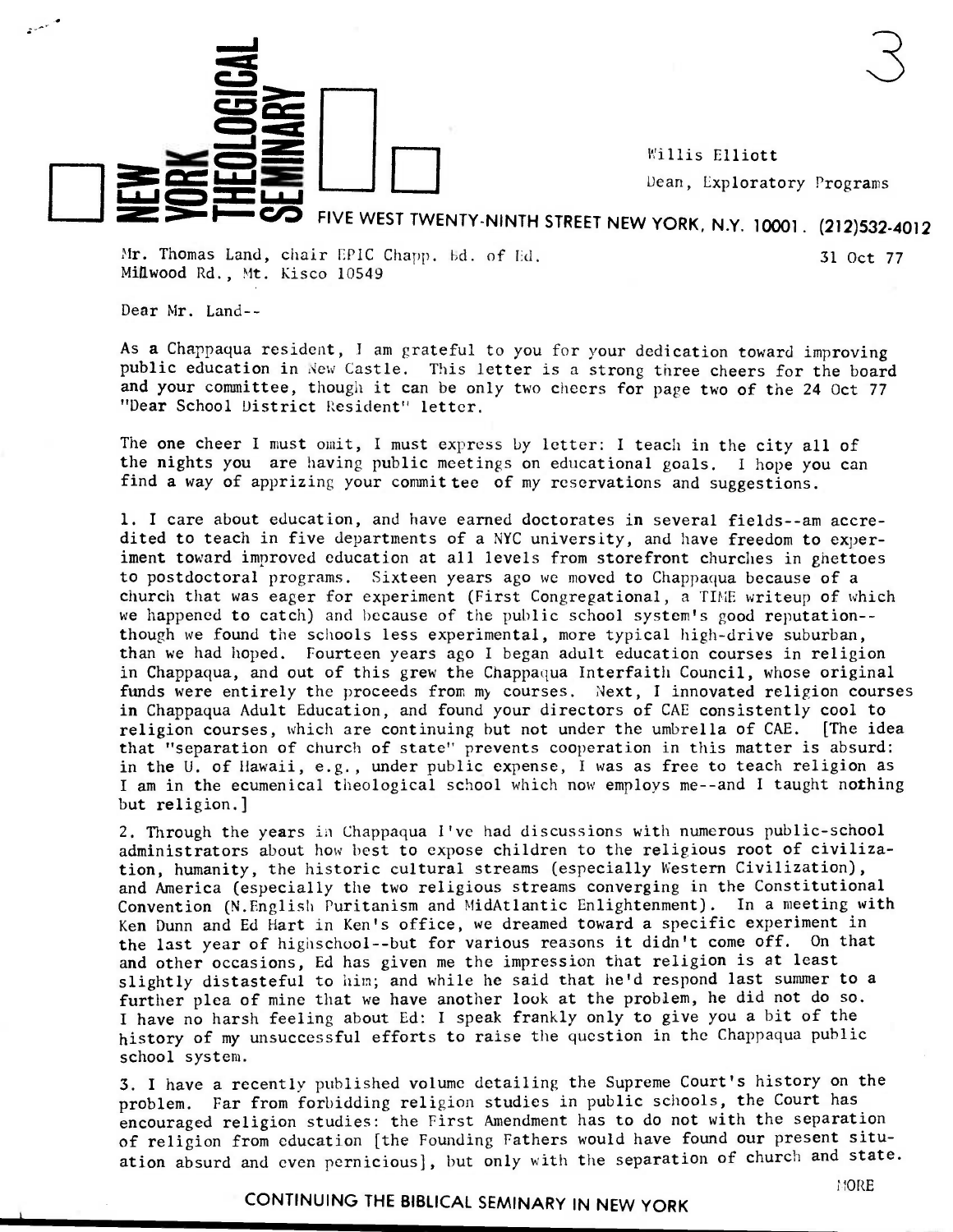Willis Elliott **Dean, Exploratory Programs** 

## **In-n• COD FIVE WEST TWENTY-NINTH STREET NEW YORK, N.Y. 10001. (212)532-4012**

 $\frac{3}{5}$   $\frac{3}{5}$ 

Mr. Thomas Land, chair EPIC Chapp. bd. of Ed. 31 Oct 77 Millwood Rd., Mt. Kisco 10549

Dear Mr. Land--

LL <del>D</del> H H H

 $\equiv$ 

As a Chappaqua resident, I am grateful to you for your dedication toward improving public education in New Castle. This letter is a strong three cheers for the board and your committee, though it can be only two cheers for page two of the 24 Oct 77 "Dear School District Resident" letter.

The one cheer I must omit, I must express by letter: I teach in the city all of the nights you are having public meetings on educational goals. I hope you can find a way of apprizing your committee of my reservations and suggestions.

1. I care about education, and have earned doctorates in several fields--am accredited to teach in five departments of a NYC university, and have freedom to experiment toward improved education at all levels from storefront churches in ghettoes to postdoctoral programs. Sixteen years ago we moved to Chappaqua because of a church that was eager for experiment (First Congregational, a TIME writeup of which we happened to catch) and because of the public school system's good reputation- though we found the schools less experimental, more typical high-drive suburban, than we had hoped. Fourteen years ago I began adult education courses in religion in Chappaqua, and out of this grew the Chappaqua Interfaith Council, whose original funds were entirely the proceeds from my courses. Next, I innovated religion courses in Chappaqua Adult Education, and found your directors of CAE consistently cool to religion courses, which are continuing but not under the umbrella of CAE. [The idea that "separation of church of state" prevents cooperation in this matter is absurd: in the U. of Hawaii, e.g., under public expense, I was as free to teach religion as I am in the ecumenical theological school which now employs me--and I taught nothing but religion.]

2. Through the years in Chappaqua I've had discussions with numerous public-school administrators about how best to expose children to the religious root of civilization, humanity, the historic cultural streams (especially Western Civilization), and America (especially the two religious streams converging in the Constitutional Convention (N.English Puritanism and MidAtlantic Enlightenment). In a meeting with Ken Dunn and Ed Hart in Ken's office, we dreamed toward a specific experiment in the last year of highschool--but for various reasons it didn't come off. On that and other occasions, Ed has given me the impression that religion is at least slightly distasteful to him; and while he said that he'd respond last summer to a further plea of mine that we have another look at the problem, he did not do so. I have no harsh feeling about Ed: I speak frankly only to give you a bit of the history of my unsuccessful efforts to raise the question in the Chappaqua public school system.

3. <sup>I</sup>have a recently published volume detailing the Supreme Court's history on the problem. Far from forbidding religion studies in public schools, the Court has encouraged religion studies: the First Amendment has to do not with the separation of religion from education [the Founding Fathers would have found our present situation absurd and even pernicious], but only with the separation of church and state.

## **CONTINUING THE BIBLICAL SEMINARY IN NEW YORK**

110RE